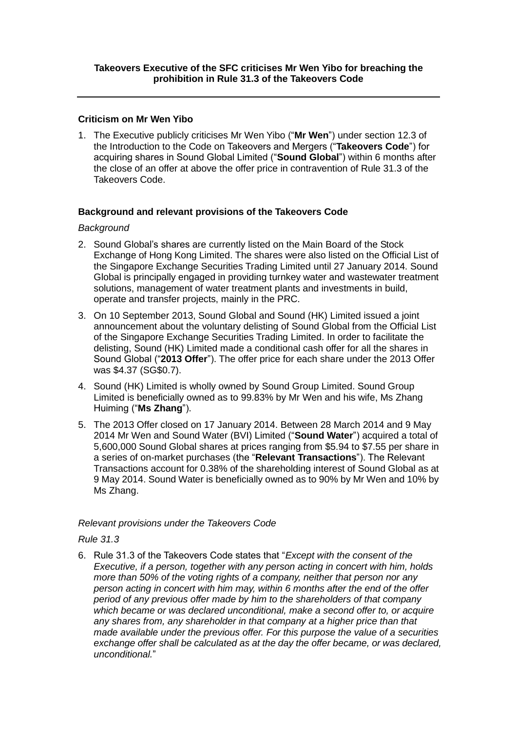### **Criticism on Mr Wen Yibo**

1. The Executive publicly criticises Mr Wen Yibo ("**Mr Wen**") under section 12.3 of the Introduction to the Code on Takeovers and Mergers ("**Takeovers Code**") for acquiring shares in Sound Global Limited ("**Sound Global**") within 6 months after the close of an offer at above the offer price in contravention of Rule 31.3 of the Takeovers Code.

## **Background and relevant provisions of the Takeovers Code**

#### *Background*

- 2. Sound Global's shares are currently listed on the Main Board of the Stock Exchange of Hong Kong Limited. The shares were also listed on the Official List of the Singapore Exchange Securities Trading Limited until 27 January 2014. Sound Global is principally engaged in providing turnkey water and wastewater treatment solutions, management of water treatment plants and investments in build, operate and transfer projects, mainly in the PRC.
- 3. On 10 September 2013, Sound Global and Sound (HK) Limited issued a joint announcement about the voluntary delisting of Sound Global from the Official List of the Singapore Exchange Securities Trading Limited. In order to facilitate the delisting, Sound (HK) Limited made a conditional cash offer for all the shares in Sound Global ("**2013 Offer**"). The offer price for each share under the 2013 Offer was \$4.37 (SG\$0.7).
- 4. Sound (HK) Limited is wholly owned by Sound Group Limited. Sound Group Limited is beneficially owned as to 99.83% by Mr Wen and his wife, Ms Zhang Huiming ("**Ms Zhang**").
- 5. The 2013 Offer closed on 17 January 2014. Between 28 March 2014 and 9 May 2014 Mr Wen and Sound Water (BVI) Limited ("**Sound Water**") acquired a total of 5,600,000 Sound Global shares at prices ranging from \$5.94 to \$7.55 per share in a series of on-market purchases (the "**Relevant Transactions**"). The Relevant Transactions account for 0.38% of the shareholding interest of Sound Global as at 9 May 2014. Sound Water is beneficially owned as to 90% by Mr Wen and 10% by Ms Zhang.

## *Relevant provisions under the Takeovers Code*

## *Rule 31.3*

6. Rule 31.3 of the Takeovers Code states that "*Except with the consent of the Executive, if a person, together with any person acting in concert with him, holds more than 50% of the voting rights of a company, neither that person nor any person acting in concert with him may, within 6 months after the end of the offer period of any previous offer made by him to the shareholders of that company which became or was declared unconditional, make a second offer to, or acquire any shares from, any shareholder in that company at a higher price than that made available under the previous offer. For this purpose the value of a securities exchange offer shall be calculated as at the day the offer became, or was declared, unconditional.*"